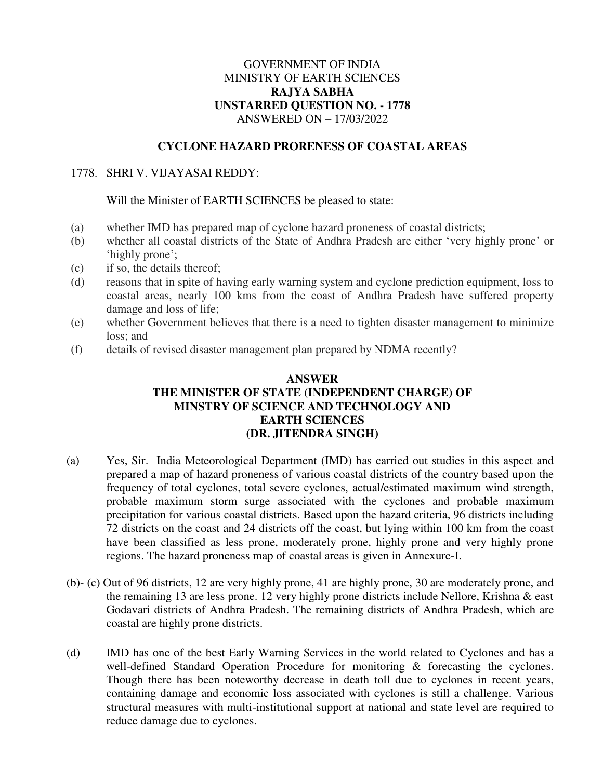## GOVERNMENT OF INDIA MINISTRY OF EARTH SCIENCES **RAJYA SABHA UNSTARRED QUESTION NO. - 1778**  ANSWERED ON – 17/03/2022

#### **CYCLONE HAZARD PRORENESS OF COASTAL AREAS**

#### 1778. SHRI V. VIJAYASAI REDDY:

Will the Minister of EARTH SCIENCES be pleased to state:

- (a) whether IMD has prepared map of cyclone hazard proneness of coastal districts;
- (b) whether all coastal districts of the State of Andhra Pradesh are either 'very highly prone' or 'highly prone';
- (c) if so, the details thereof;
- (d) reasons that in spite of having early warning system and cyclone prediction equipment, loss to coastal areas, nearly 100 kms from the coast of Andhra Pradesh have suffered property damage and loss of life;
- (e) whether Government believes that there is a need to tighten disaster management to minimize loss; and
- (f) details of revised disaster management plan prepared by NDMA recently?

## **ANSWER THE MINISTER OF STATE (INDEPENDENT CHARGE) OF MINSTRY OF SCIENCE AND TECHNOLOGY AND EARTH SCIENCES (DR. JITENDRA SINGH)**

- (a) Yes, Sir. India Meteorological Department (IMD) has carried out studies in this aspect and prepared a map of hazard proneness of various coastal districts of the country based upon the frequency of total cyclones, total severe cyclones, actual/estimated maximum wind strength, probable maximum storm surge associated with the cyclones and probable maximum precipitation for various coastal districts. Based upon the hazard criteria, 96 districts including 72 districts on the coast and 24 districts off the coast, but lying within 100 km from the coast have been classified as less prone, moderately prone, highly prone and very highly prone regions. The hazard proneness map of coastal areas is given in Annexure-I.
- (b)- (c) Out of 96 districts, 12 are very highly prone, 41 are highly prone, 30 are moderately prone, and the remaining 13 are less prone. 12 very highly prone districts include Nellore, Krishna & east Godavari districts of Andhra Pradesh. The remaining districts of Andhra Pradesh, which are coastal are highly prone districts.
- (d) IMD has one of the best Early Warning Services in the world related to Cyclones and has a well-defined Standard Operation Procedure for monitoring & forecasting the cyclones. Though there has been noteworthy decrease in death toll due to cyclones in recent years, containing damage and economic loss associated with cyclones is still a challenge. Various structural measures with multi-institutional support at national and state level are required to reduce damage due to cyclones.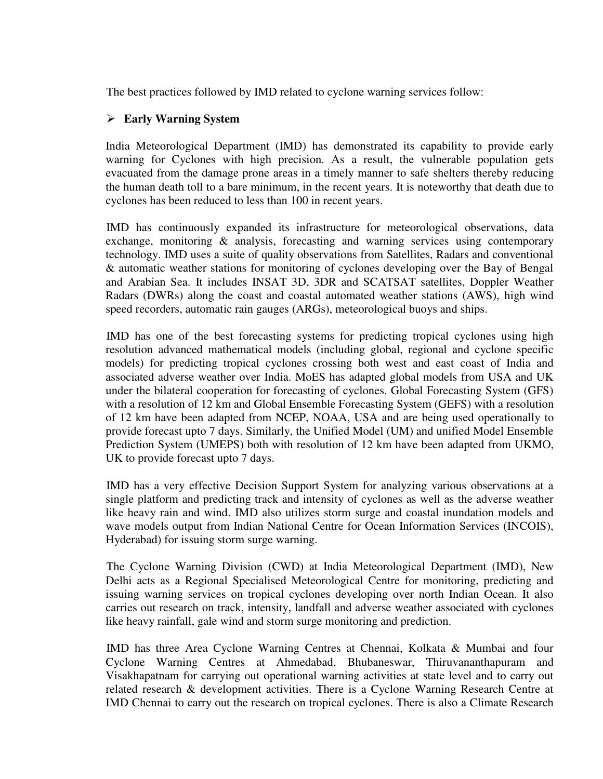The best practices followed by IMD related to cyclone warning services follow:

# **Early Warning System**

India Meteorological Department (IMD) has demonstrated its capability to provide early warning for Cyclones with high precision. As a result, the vulnerable population gets evacuated from the damage prone areas in a timely manner to safe shelters thereby reducing the human death toll to a bare minimum, in the recent years. It is noteworthy that death due to cyclones has been reduced to less than 100 in recent years.

IMD has continuously expanded its infrastructure for meteorological observations, data exchange, monitoring & analysis, forecasting and warning services using contemporary technology. IMD uses a suite of quality observations from Satellites, Radars and conventional & automatic weather stations for monitoring of cyclones developing over the Bay of Bengal and Arabian Sea. It includes INSAT 3D, 3DR and SCATSAT satellites, Doppler Weather Radars (DWRs) along the coast and coastal automated weather stations (AWS), high wind speed recorders, automatic rain gauges (ARGs), meteorological buoys and ships.

IMD has one of the best forecasting systems for predicting tropical cyclones using high resolution advanced mathematical models (including global, regional and cyclone specific models) for predicting tropical cyclones crossing both west and east coast of India and associated adverse weather over India. MoES has adapted global models from USA and UK under the bilateral cooperation for forecasting of cyclones. Global Forecasting System (GFS) with a resolution of 12 km and Global Ensemble Forecasting System (GEFS) with a resolution of 12 km have been adapted from NCEP, NOAA, USA and are being used operationally to provide forecast upto 7 days. Similarly, the Unified Model (UM) and unified Model Ensemble Prediction System (UMEPS) both with resolution of 12 km have been adapted from UKMO, UK to provide forecast upto 7 days.

IMD has a very effective Decision Support System for analyzing various observations at a single platform and predicting track and intensity of cyclones as well as the adverse weather like heavy rain and wind. IMD also utilizes storm surge and coastal inundation models and wave models output from Indian National Centre for Ocean Information Services (INCOIS), Hyderabad) for issuing storm surge warning.

The Cyclone Warning Division (CWD) at India Meteorological Department (IMD), New Delhi acts as a Regional Specialised Meteorological Centre for monitoring, predicting and issuing warning services on tropical cyclones developing over north Indian Ocean. It also carries out research on track, intensity, landfall and adverse weather associated with cyclones like heavy rainfall, gale wind and storm surge monitoring and prediction.

IMD has three Area Cyclone Warning Centres at Chennai, Kolkata & Mumbai and four Cyclone Warning Centres at Ahmedabad, Bhubaneswar, Thiruvananthapuram and Visakhapatnam for carrying out operational warning activities at state level and to carry out related research & development activities. There is a Cyclone Warning Research Centre at IMD Chennai to carry out the research on tropical cyclones. There is also a Climate Research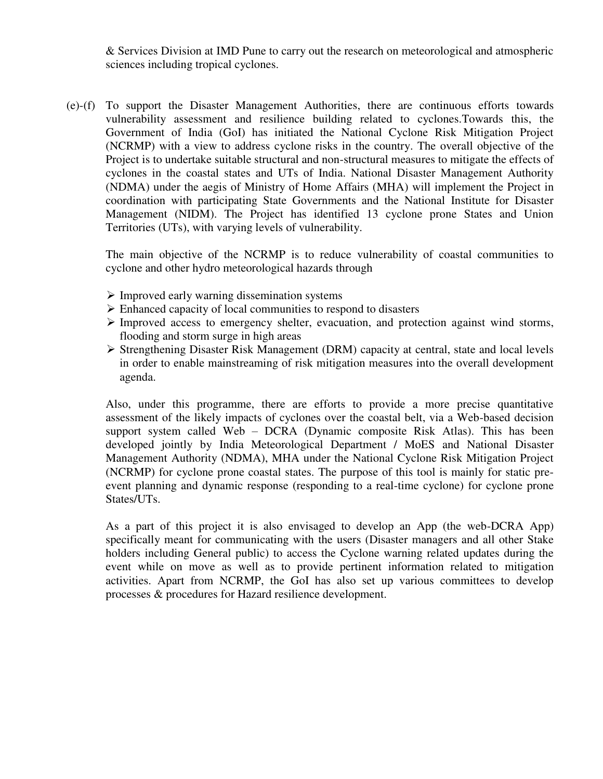& Services Division at IMD Pune to carry out the research on meteorological and atmospheric sciences including tropical cyclones.

(e)-(f) To support the Disaster Management Authorities, there are continuous efforts towards vulnerability assessment and resilience building related to cyclones.Towards this, the Government of India (GoI) has initiated the National Cyclone Risk Mitigation Project (NCRMP) with a view to address cyclone risks in the country. The overall objective of the Project is to undertake suitable structural and non-structural measures to mitigate the effects of cyclones in the coastal states and UTs of India. National Disaster Management Authority (NDMA) under the aegis of Ministry of Home Affairs (MHA) will implement the Project in coordination with participating State Governments and the National Institute for Disaster Management (NIDM). The Project has identified 13 cyclone prone States and Union Territories (UTs), with varying levels of vulnerability.

The main objective of the NCRMP is to reduce vulnerability of coastal communities to cyclone and other hydro meteorological hazards through

- $\triangleright$  Improved early warning dissemination systems
- Enhanced capacity of local communities to respond to disasters
- $\triangleright$  Improved access to emergency shelter, evacuation, and protection against wind storms, flooding and storm surge in high areas
- Strengthening Disaster Risk Management (DRM) capacity at central, state and local levels in order to enable mainstreaming of risk mitigation measures into the overall development agenda.

Also, under this programme, there are efforts to provide a more precise quantitative assessment of the likely impacts of cyclones over the coastal belt, via a Web-based decision support system called Web – DCRA (Dynamic composite Risk Atlas). This has been developed jointly by India Meteorological Department / MoES and National Disaster Management Authority (NDMA), MHA under the National Cyclone Risk Mitigation Project (NCRMP) for cyclone prone coastal states. The purpose of this tool is mainly for static preevent planning and dynamic response (responding to a real-time cyclone) for cyclone prone States/UTs.

As a part of this project it is also envisaged to develop an App (the web-DCRA App) specifically meant for communicating with the users (Disaster managers and all other Stake holders including General public) to access the Cyclone warning related updates during the event while on move as well as to provide pertinent information related to mitigation activities. Apart from NCRMP, the GoI has also set up various committees to develop processes & procedures for Hazard resilience development.